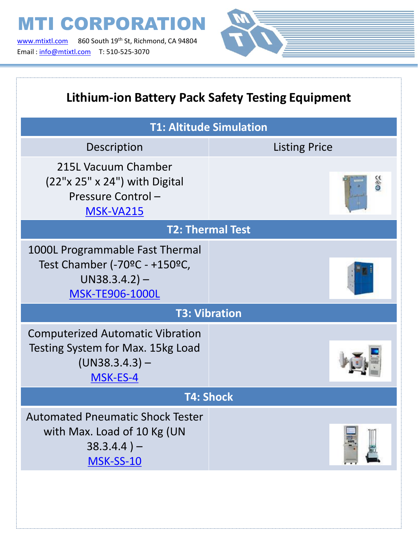[www.mtixtl.com](http://www.mtixtl.com/) 860 South 19<sup>th</sup> St, Richmond, CA 94804 Email : [info@mtixtl.com](mailto:info@mtixtl.com) T: 510-525-3070

T



| <b>Lithium-ion Battery Pack Safety Testing Equipment</b>                                                       |                      |  |
|----------------------------------------------------------------------------------------------------------------|----------------------|--|
| <b>T1: Altitude Simulation</b>                                                                                 |                      |  |
| Description                                                                                                    | <b>Listing Price</b> |  |
| 215L Vacuum Chamber<br>(22"x 25" x 24") with Digital<br>Pressure Control-<br><b>MSK-VA215</b>                  | $\frac{1}{2}$        |  |
| <b>T2: Thermal Test</b>                                                                                        |                      |  |
| 1000L Programmable Fast Thermal<br>Test Chamber (-70°C - +150°C,<br>$UN38.3.4.2$ ) –<br><b>MSK-TE906-1000L</b> |                      |  |
| <b>T3: Vibration</b>                                                                                           |                      |  |
| <b>Computerized Automatic Vibration</b><br>Testing System for Max. 15kg Load<br>$(UN38.3.4.3) -$<br>MSK-ES-4   |                      |  |
| <b>T4: Shock</b>                                                                                               |                      |  |
| <b>Automated Pneumatic Shock Tester</b><br>with Max. Load of 10 Kg (UN<br>$38.3.4.4$ ) –<br><b>MSK-SS-10</b>   |                      |  |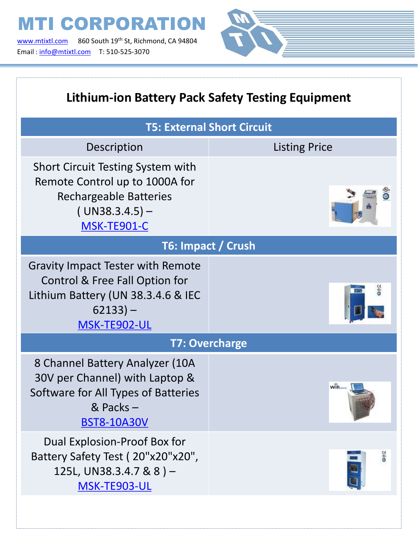[www.mtixtl.com](http://www.mtixtl.com/) 860 South 19<sup>th</sup> St, Richmond, CA 94804 Email : [info@mtixtl.com](mailto:info@mtixtl.com) T: 510-525-3070



| <b>Lithium-ion Battery Pack Safety Testing Equipment</b>                                                                                       |                      |  |
|------------------------------------------------------------------------------------------------------------------------------------------------|----------------------|--|
| <b>T5: External Short Circuit</b>                                                                                                              |                      |  |
| Description                                                                                                                                    | <b>Listing Price</b> |  |
| <b>Short Circuit Testing System with</b><br>Remote Control up to 1000A for<br><b>Rechargeable Batteries</b><br>$(UN38.3.4.5) -$<br>MSK-TE901-C |                      |  |
| T6: Impact / Crush                                                                                                                             |                      |  |
| <b>Gravity Impact Tester with Remote</b><br>Control & Free Fall Option for<br>Lithium Battery (UN 38.3.4.6 & IEC<br>$62133 -$<br>MSK-TE902-UL  |                      |  |
| <b>T7: Overcharge</b>                                                                                                                          |                      |  |
| 8 Channel Battery Analyzer (10A<br>30V per Channel) with Laptop &<br>Software for All Types of Batteries<br>& Packs-<br><b>BST8-10A30V</b>     | Wifi                 |  |
| Dual Explosion-Proof Box for<br>Battery Safety Test (20"x20"x20",<br>125L, UN38.3.4.7 & 8) -<br>MSK-TE903-UL                                   | <b>Seo</b>           |  |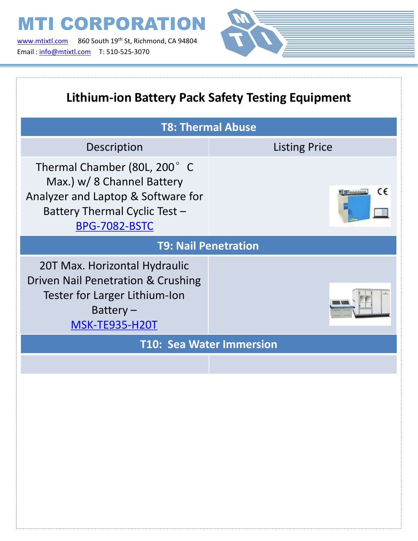[www.mtixtl.com](http://www.mtixtl.com/) 860 South 19<sup>th</sup> St, Richmond, CA 94804 Email : [info@mtixtl.com](mailto:info@mtixtl.com) T: 510-525-3070



| <b>Lithium-ion Battery Pack Safety Testing Equipment</b>                                                                                                  |                            |  |
|-----------------------------------------------------------------------------------------------------------------------------------------------------------|----------------------------|--|
| <b>T8: Thermal Abuse</b>                                                                                                                                  |                            |  |
| Description                                                                                                                                               | <b>Listing Price</b>       |  |
| Thermal Chamber (80L, 200° C<br>Max.) w/ 8 Channel Battery<br>Analyzer and Laptop & Software for<br>Battery Thermal Cyclic Test -<br><b>BPG-7082-BSTC</b> | CE<br><b>EL DE Anagent</b> |  |
| <b>T9: Nail Penetration</b>                                                                                                                               |                            |  |
| 20T Max. Horizontal Hydraulic<br>Driven Nail Penetration & Crushing<br>Tester for Larger Lithium-Ion<br>Battery $-$<br><b>MSK-TE935-H20T</b>              |                            |  |
| <b>T10: Sea Water Immersion</b>                                                                                                                           |                            |  |
|                                                                                                                                                           |                            |  |
|                                                                                                                                                           |                            |  |
|                                                                                                                                                           |                            |  |
|                                                                                                                                                           |                            |  |